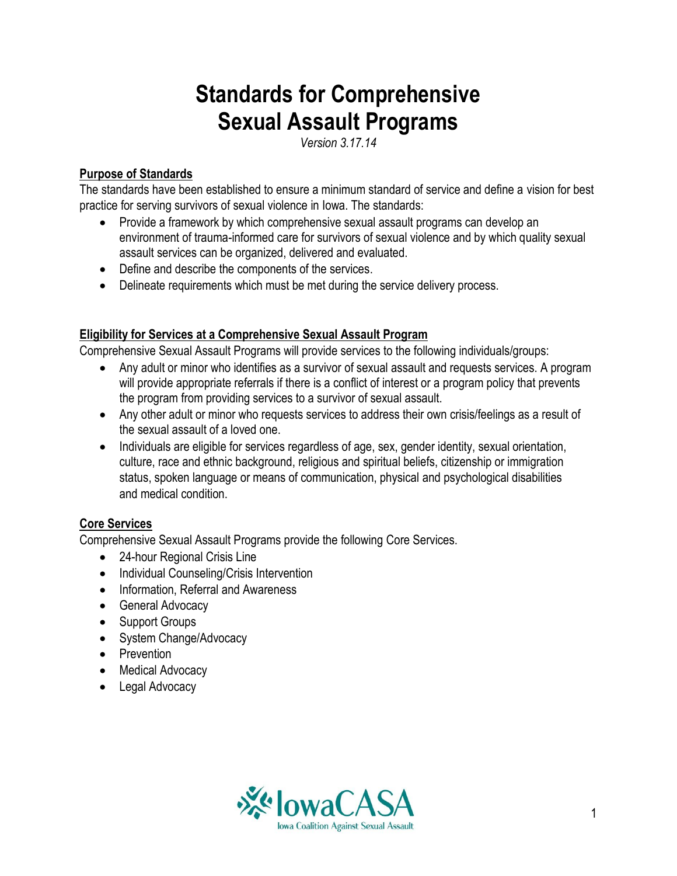# **Standards for Comprehensive Sexual Assault Programs**

*Version 3.17.14*

#### **Purpose of Standards**

The standards have been established to ensure a minimum standard of service and define a vision for best practice for serving survivors of sexual violence in Iowa. The standards:

- Provide a framework by which comprehensive sexual assault programs can develop an environment of trauma-informed care for survivors of sexual violence and by which quality sexual assault services can be organized, delivered and evaluated.
- Define and describe the components of the services.
- Delineate requirements which must be met during the service delivery process.

## **Eligibility for Services at a Comprehensive Sexual Assault Program**

Comprehensive Sexual Assault Programs will provide services to the following individuals/groups:

- Any adult or minor who identifies as a survivor of sexual assault and requests services. A program will provide appropriate referrals if there is a conflict of interest or a program policy that prevents the program from providing services to a survivor of sexual assault.
- Any other adult or minor who requests services to address their own crisis/feelings as a result of the sexual assault of a loved one.
- Individuals are eligible for services regardless of age, sex, gender identity, sexual orientation, culture, race and ethnic background, religious and spiritual beliefs, citizenship or immigration status, spoken language or means of communication, physical and psychological disabilities and medical condition.

# **Core Services**

Comprehensive Sexual Assault Programs provide the following Core Services.

- 24-hour Regional Crisis Line
- Individual Counseling/Crisis Intervention
- Information, Referral and Awareness
- General Advocacy
- Support Groups
- System Change/Advocacy
- Prevention
- Medical Advocacy
- Legal Advocacy

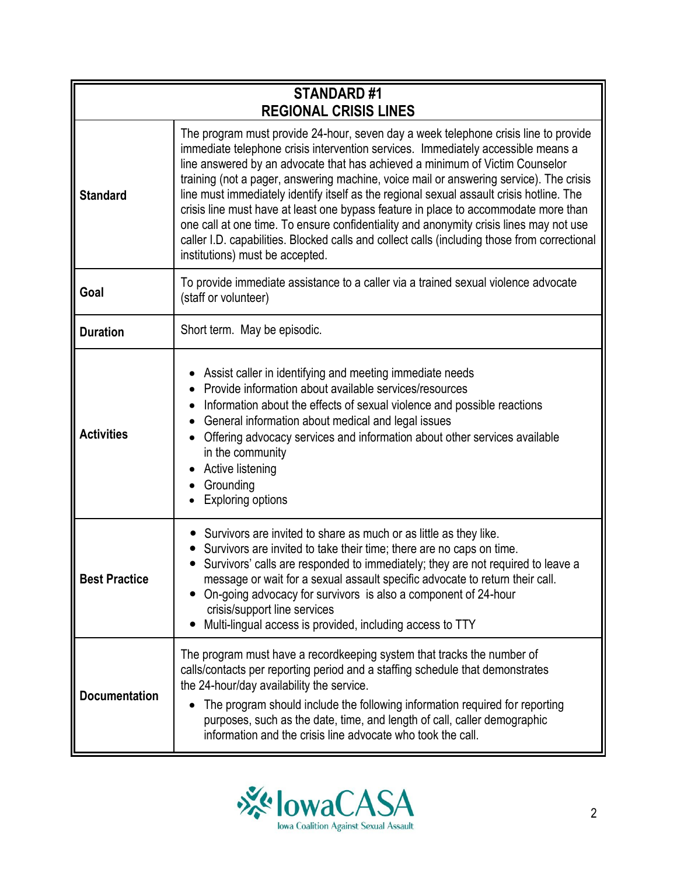| <b>STANDARD#1</b>    |                                                                                                                                                                                                                                                                                                                                                                                                                                                                                                                                                                                                                                                                                                                                                                   |
|----------------------|-------------------------------------------------------------------------------------------------------------------------------------------------------------------------------------------------------------------------------------------------------------------------------------------------------------------------------------------------------------------------------------------------------------------------------------------------------------------------------------------------------------------------------------------------------------------------------------------------------------------------------------------------------------------------------------------------------------------------------------------------------------------|
|                      | <b>REGIONAL CRISIS LINES</b>                                                                                                                                                                                                                                                                                                                                                                                                                                                                                                                                                                                                                                                                                                                                      |
| <b>Standard</b>      | The program must provide 24-hour, seven day a week telephone crisis line to provide<br>immediate telephone crisis intervention services. Immediately accessible means a<br>line answered by an advocate that has achieved a minimum of Victim Counselor<br>training (not a pager, answering machine, voice mail or answering service). The crisis<br>line must immediately identify itself as the regional sexual assault crisis hotline. The<br>crisis line must have at least one bypass feature in place to accommodate more than<br>one call at one time. To ensure confidentiality and anonymity crisis lines may not use<br>caller I.D. capabilities. Blocked calls and collect calls (including those from correctional<br>institutions) must be accepted. |
| Goal                 | To provide immediate assistance to a caller via a trained sexual violence advocate<br>(staff or volunteer)                                                                                                                                                                                                                                                                                                                                                                                                                                                                                                                                                                                                                                                        |
| <b>Duration</b>      | Short term. May be episodic.                                                                                                                                                                                                                                                                                                                                                                                                                                                                                                                                                                                                                                                                                                                                      |
| <b>Activities</b>    | Assist caller in identifying and meeting immediate needs<br>Provide information about available services/resources<br>Information about the effects of sexual violence and possible reactions<br>General information about medical and legal issues<br>Offering advocacy services and information about other services available<br>in the community<br>Active listening<br>Grounding<br><b>Exploring options</b>                                                                                                                                                                                                                                                                                                                                                 |
| <b>Best Practice</b> | Survivors are invited to share as much or as little as they like.<br>Survivors are invited to take their time; there are no caps on time.<br>Survivors' calls are responded to immediately; they are not required to leave a<br>message or wait for a sexual assault specific advocate to return their call.<br>On-going advocacy for survivors is also a component of 24-hour<br>crisis/support line services<br>Multi-lingual access is provided, including access to TTY                                                                                                                                                                                                                                                                                       |
| <b>Documentation</b> | The program must have a recordkeeping system that tracks the number of<br>calls/contacts per reporting period and a staffing schedule that demonstrates<br>the 24-hour/day availability the service.<br>The program should include the following information required for reporting<br>$\bullet$<br>purposes, such as the date, time, and length of call, caller demographic<br>information and the crisis line advocate who took the call.                                                                                                                                                                                                                                                                                                                       |

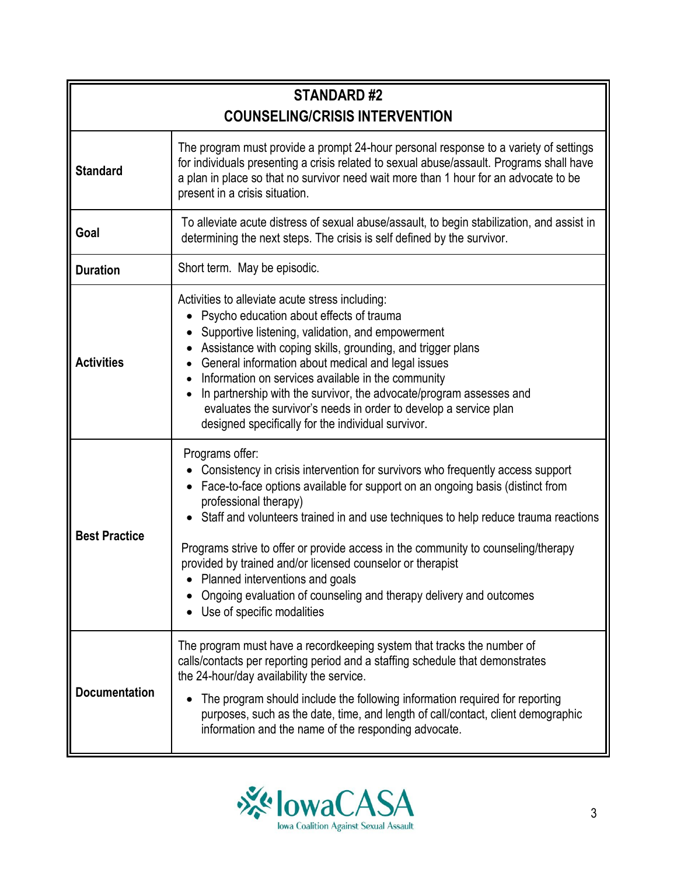| <b>STANDARD#2</b><br><b>COUNSELING/CRISIS INTERVENTION</b> |                                                                                                                                                                                                                                                                                                                                                                                                                                                                                                                                                                                             |
|------------------------------------------------------------|---------------------------------------------------------------------------------------------------------------------------------------------------------------------------------------------------------------------------------------------------------------------------------------------------------------------------------------------------------------------------------------------------------------------------------------------------------------------------------------------------------------------------------------------------------------------------------------------|
| <b>Standard</b>                                            | The program must provide a prompt 24-hour personal response to a variety of settings<br>for individuals presenting a crisis related to sexual abuse/assault. Programs shall have<br>a plan in place so that no survivor need wait more than 1 hour for an advocate to be<br>present in a crisis situation.                                                                                                                                                                                                                                                                                  |
| Goal                                                       | To alleviate acute distress of sexual abuse/assault, to begin stabilization, and assist in<br>determining the next steps. The crisis is self defined by the survivor.                                                                                                                                                                                                                                                                                                                                                                                                                       |
| <b>Duration</b>                                            | Short term. May be episodic.                                                                                                                                                                                                                                                                                                                                                                                                                                                                                                                                                                |
| <b>Activities</b>                                          | Activities to alleviate acute stress including:<br>Psycho education about effects of trauma<br>Supportive listening, validation, and empowerment<br>Assistance with coping skills, grounding, and trigger plans<br>$\bullet$<br>General information about medical and legal issues<br>Information on services available in the community<br>In partnership with the survivor, the advocate/program assesses and<br>$\bullet$<br>evaluates the survivor's needs in order to develop a service plan<br>designed specifically for the individual survivor.                                     |
| <b>Best Practice</b>                                       | Programs offer:<br>Consistency in crisis intervention for survivors who frequently access support<br>Face-to-face options available for support on an ongoing basis (distinct from<br>professional therapy)<br>Staff and volunteers trained in and use techniques to help reduce trauma reactions<br>Programs strive to offer or provide access in the community to counseling/therapy<br>provided by trained and/or licensed counselor or therapist<br>Planned interventions and goals<br>Ongoing evaluation of counseling and therapy delivery and outcomes<br>Use of specific modalities |
| <b>Documentation</b>                                       | The program must have a recordkeeping system that tracks the number of<br>calls/contacts per reporting period and a staffing schedule that demonstrates<br>the 24-hour/day availability the service.<br>The program should include the following information required for reporting<br>purposes, such as the date, time, and length of call/contact, client demographic<br>information and the name of the responding advocate.                                                                                                                                                             |

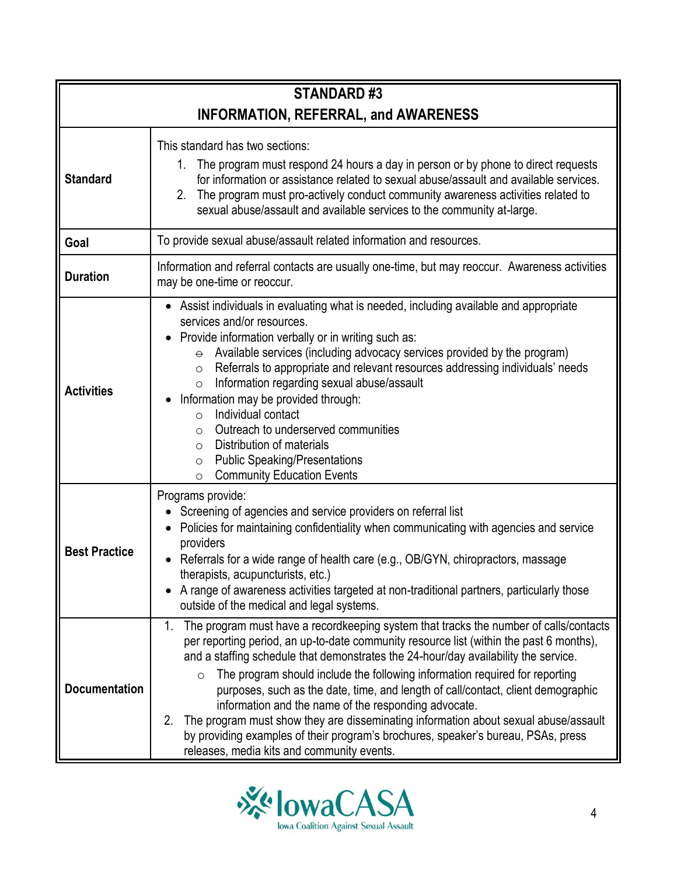| <b>STANDARD#3</b>                           |                                                                                                                                                                                                                                                                                                                                                                                                                                                                                                                                                                                                                                                                                                                                                     |
|---------------------------------------------|-----------------------------------------------------------------------------------------------------------------------------------------------------------------------------------------------------------------------------------------------------------------------------------------------------------------------------------------------------------------------------------------------------------------------------------------------------------------------------------------------------------------------------------------------------------------------------------------------------------------------------------------------------------------------------------------------------------------------------------------------------|
| <b>INFORMATION, REFERRAL, and AWARENESS</b> |                                                                                                                                                                                                                                                                                                                                                                                                                                                                                                                                                                                                                                                                                                                                                     |
| <b>Standard</b>                             | This standard has two sections:<br>The program must respond 24 hours a day in person or by phone to direct requests<br>1.<br>for information or assistance related to sexual abuse/assault and available services.<br>2. The program must pro-actively conduct community awareness activities related to<br>sexual abuse/assault and available services to the community at-large.                                                                                                                                                                                                                                                                                                                                                                  |
| Goal                                        | To provide sexual abuse/assault related information and resources.                                                                                                                                                                                                                                                                                                                                                                                                                                                                                                                                                                                                                                                                                  |
| <b>Duration</b>                             | Information and referral contacts are usually one-time, but may reoccur. Awareness activities<br>may be one-time or reoccur.                                                                                                                                                                                                                                                                                                                                                                                                                                                                                                                                                                                                                        |
| <b>Activities</b>                           | Assist individuals in evaluating what is needed, including available and appropriate<br>services and/or resources.<br>Provide information verbally or in writing such as:<br>$\bullet$<br>$\theta$ Available services (including advocacy services provided by the program)<br>Referrals to appropriate and relevant resources addressing individuals' needs<br>$\circ$<br>Information regarding sexual abuse/assault<br>$\circ$<br>Information may be provided through:<br>Individual contact<br>$\circ$<br>Outreach to underserved communities<br>$\circ$<br>Distribution of materials<br>$\circ$<br><b>Public Speaking/Presentations</b><br>$\circ$<br><b>Community Education Events</b><br>$\circ$                                              |
| <b>Best Practice</b>                        | Programs provide:<br>• Screening of agencies and service providers on referral list<br>• Policies for maintaining confidentiality when communicating with agencies and service<br>providers<br>Referrals for a wide range of health care (e.g., OB/GYN, chiropractors, massage<br>$\bullet$<br>therapists, acupuncturists, etc.)<br>A range of awareness activities targeted at non-traditional partners, particularly those<br>outside of the medical and legal systems.                                                                                                                                                                                                                                                                           |
| <b>Documentation</b>                        | The program must have a recordkeeping system that tracks the number of calls/contacts<br>1.<br>per reporting period, an up-to-date community resource list (within the past 6 months),<br>and a staffing schedule that demonstrates the 24-hour/day availability the service.<br>The program should include the following information required for reporting<br>$\circ$<br>purposes, such as the date, time, and length of call/contact, client demographic<br>information and the name of the responding advocate.<br>The program must show they are disseminating information about sexual abuse/assault<br>2.<br>by providing examples of their program's brochures, speaker's bureau, PSAs, press<br>releases, media kits and community events. |

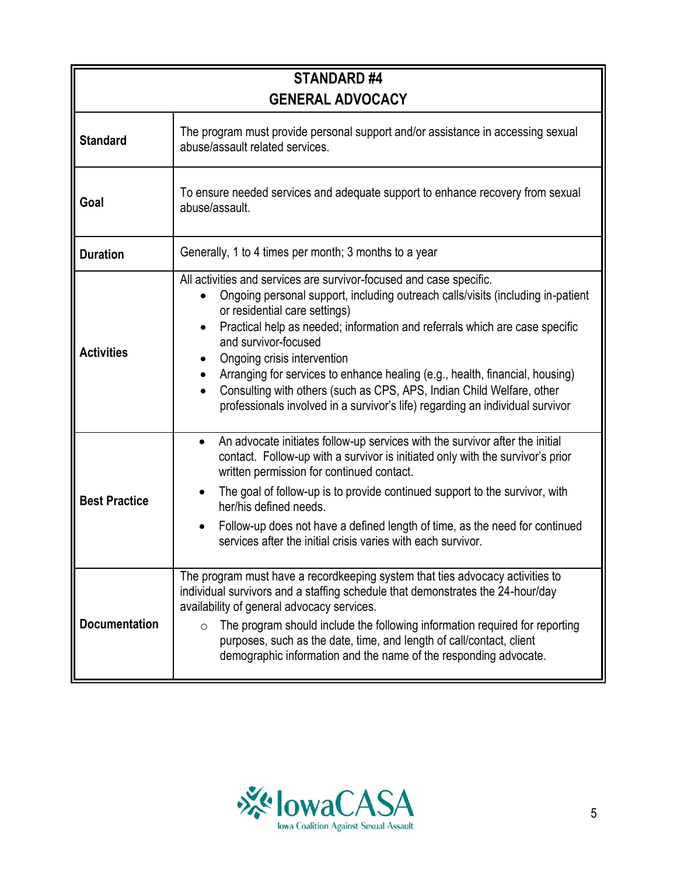| <b>STANDARD#4</b>    |                                                                                                                                                                                                                                                                                                                                                                                                                                                                                                                                                                                      |
|----------------------|--------------------------------------------------------------------------------------------------------------------------------------------------------------------------------------------------------------------------------------------------------------------------------------------------------------------------------------------------------------------------------------------------------------------------------------------------------------------------------------------------------------------------------------------------------------------------------------|
|                      | <b>GENERAL ADVOCACY</b>                                                                                                                                                                                                                                                                                                                                                                                                                                                                                                                                                              |
| <b>Standard</b>      | The program must provide personal support and/or assistance in accessing sexual<br>abuse/assault related services.                                                                                                                                                                                                                                                                                                                                                                                                                                                                   |
| Goal                 | To ensure needed services and adequate support to enhance recovery from sexual<br>abuse/assault.                                                                                                                                                                                                                                                                                                                                                                                                                                                                                     |
| <b>Duration</b>      | Generally, 1 to 4 times per month; 3 months to a year                                                                                                                                                                                                                                                                                                                                                                                                                                                                                                                                |
| <b>Activities</b>    | All activities and services are survivor-focused and case specific.<br>Ongoing personal support, including outreach calls/visits (including in-patient<br>or residential care settings)<br>Practical help as needed; information and referrals which are case specific<br>and survivor-focused<br>Ongoing crisis intervention<br>Arranging for services to enhance healing (e.g., health, financial, housing)<br>Consulting with others (such as CPS, APS, Indian Child Welfare, other<br>$\bullet$<br>professionals involved in a survivor's life) regarding an individual survivor |
| <b>Best Practice</b> | An advocate initiates follow-up services with the survivor after the initial<br>$\bullet$<br>contact. Follow-up with a survivor is initiated only with the survivor's prior<br>written permission for continued contact.<br>The goal of follow-up is to provide continued support to the survivor, with<br>her/his defined needs.<br>Follow-up does not have a defined length of time, as the need for continued<br>services after the initial crisis varies with each survivor.                                                                                                     |
| <b>Documentation</b> | The program must have a recordkeeping system that ties advocacy activities to<br>individual survivors and a staffing schedule that demonstrates the 24-hour/day<br>availability of general advocacy services.<br>The program should include the following information required for reporting<br>$\circ$<br>purposes, such as the date, time, and length of call/contact, client<br>demographic information and the name of the responding advocate.                                                                                                                                  |

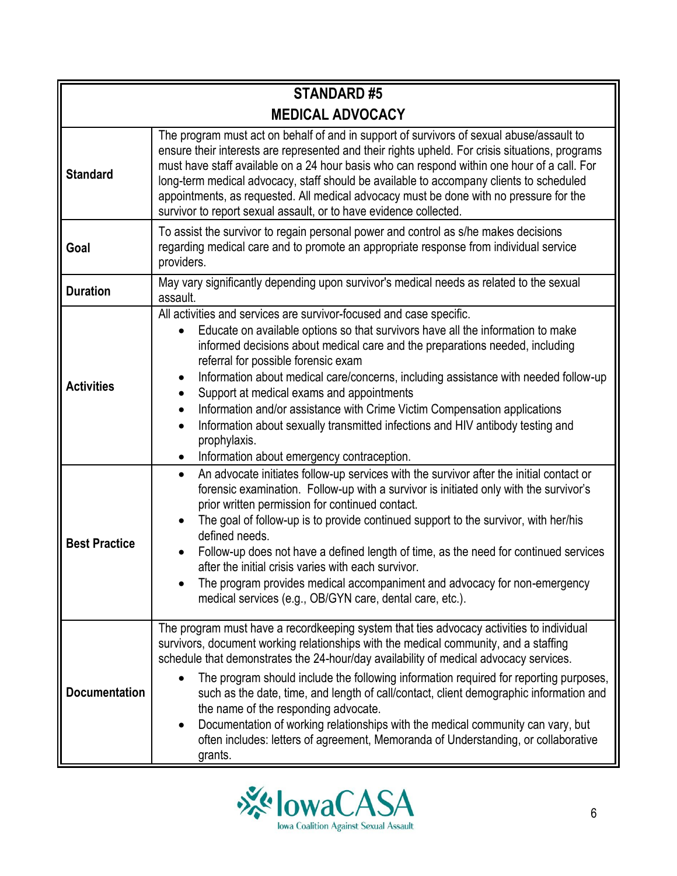| <b>STANDARD#5</b>       |                                                                                                                                                                                                                                                                                                                                                                                                                                                                                                                                                                                                                                                                                          |  |
|-------------------------|------------------------------------------------------------------------------------------------------------------------------------------------------------------------------------------------------------------------------------------------------------------------------------------------------------------------------------------------------------------------------------------------------------------------------------------------------------------------------------------------------------------------------------------------------------------------------------------------------------------------------------------------------------------------------------------|--|
| <b>MEDICAL ADVOCACY</b> |                                                                                                                                                                                                                                                                                                                                                                                                                                                                                                                                                                                                                                                                                          |  |
| <b>Standard</b>         | The program must act on behalf of and in support of survivors of sexual abuse/assault to<br>ensure their interests are represented and their rights upheld. For crisis situations, programs<br>must have staff available on a 24 hour basis who can respond within one hour of a call. For<br>long-term medical advocacy, staff should be available to accompany clients to scheduled<br>appointments, as requested. All medical advocacy must be done with no pressure for the<br>survivor to report sexual assault, or to have evidence collected.                                                                                                                                     |  |
| Goal                    | To assist the survivor to regain personal power and control as s/he makes decisions<br>regarding medical care and to promote an appropriate response from individual service<br>providers.                                                                                                                                                                                                                                                                                                                                                                                                                                                                                               |  |
| <b>Duration</b>         | May vary significantly depending upon survivor's medical needs as related to the sexual<br>assault.                                                                                                                                                                                                                                                                                                                                                                                                                                                                                                                                                                                      |  |
| <b>Activities</b>       | All activities and services are survivor-focused and case specific.<br>Educate on available options so that survivors have all the information to make<br>informed decisions about medical care and the preparations needed, including<br>referral for possible forensic exam<br>Information about medical care/concerns, including assistance with needed follow-up<br>Support at medical exams and appointments<br>$\bullet$<br>Information and/or assistance with Crime Victim Compensation applications<br>$\bullet$<br>Information about sexually transmitted infections and HIV antibody testing and<br>$\bullet$<br>prophylaxis.<br>Information about emergency contraception.    |  |
| <b>Best Practice</b>    | An advocate initiates follow-up services with the survivor after the initial contact or<br>$\bullet$<br>forensic examination. Follow-up with a survivor is initiated only with the survivor's<br>prior written permission for continued contact.<br>The goal of follow-up is to provide continued support to the survivor, with her/his<br>defined needs.<br>Follow-up does not have a defined length of time, as the need for continued services<br>after the initial crisis varies with each survivor.<br>The program provides medical accompaniment and advocacy for non-emergency<br>medical services (e.g., OB/GYN care, dental care, etc.).                                        |  |
| <b>Documentation</b>    | The program must have a recordkeeping system that ties advocacy activities to individual<br>survivors, document working relationships with the medical community, and a staffing<br>schedule that demonstrates the 24-hour/day availability of medical advocacy services.<br>The program should include the following information required for reporting purposes,<br>such as the date, time, and length of call/contact, client demographic information and<br>the name of the responding advocate.<br>Documentation of working relationships with the medical community can vary, but<br>often includes: letters of agreement, Memoranda of Understanding, or collaborative<br>grants. |  |

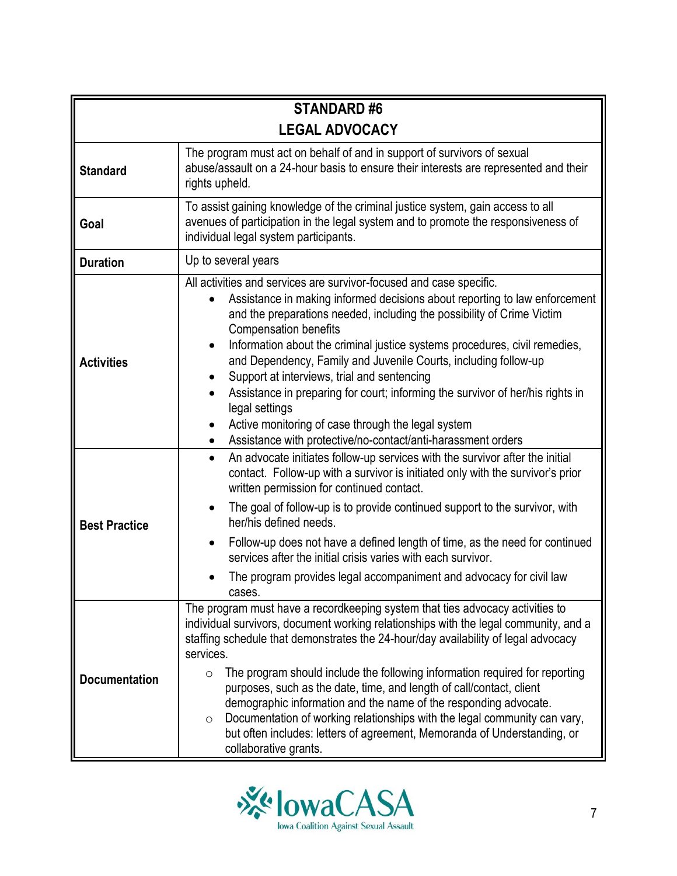| <b>STANDARD#6</b>     |                                                                                                                                                                                                                                                                                                                                                                                                                                                                                                                                                                                                                                                                                                                              |  |
|-----------------------|------------------------------------------------------------------------------------------------------------------------------------------------------------------------------------------------------------------------------------------------------------------------------------------------------------------------------------------------------------------------------------------------------------------------------------------------------------------------------------------------------------------------------------------------------------------------------------------------------------------------------------------------------------------------------------------------------------------------------|--|
| <b>LEGAL ADVOCACY</b> |                                                                                                                                                                                                                                                                                                                                                                                                                                                                                                                                                                                                                                                                                                                              |  |
| <b>Standard</b>       | The program must act on behalf of and in support of survivors of sexual<br>abuse/assault on a 24-hour basis to ensure their interests are represented and their<br>rights upheld.                                                                                                                                                                                                                                                                                                                                                                                                                                                                                                                                            |  |
| Goal                  | To assist gaining knowledge of the criminal justice system, gain access to all<br>avenues of participation in the legal system and to promote the responsiveness of<br>individual legal system participants.                                                                                                                                                                                                                                                                                                                                                                                                                                                                                                                 |  |
| <b>Duration</b>       | Up to several years                                                                                                                                                                                                                                                                                                                                                                                                                                                                                                                                                                                                                                                                                                          |  |
| <b>Activities</b>     | All activities and services are survivor-focused and case specific.<br>Assistance in making informed decisions about reporting to law enforcement<br>and the preparations needed, including the possibility of Crime Victim<br><b>Compensation benefits</b><br>Information about the criminal justice systems procedures, civil remedies,<br>$\bullet$<br>and Dependency, Family and Juvenile Courts, including follow-up<br>Support at interviews, trial and sentencing<br>Assistance in preparing for court; informing the survivor of her/his rights in<br>legal settings<br>Active monitoring of case through the legal system<br>$\bullet$<br>Assistance with protective/no-contact/anti-harassment orders<br>$\bullet$ |  |
| <b>Best Practice</b>  | An advocate initiates follow-up services with the survivor after the initial<br>$\bullet$<br>contact. Follow-up with a survivor is initiated only with the survivor's prior<br>written permission for continued contact.<br>The goal of follow-up is to provide continued support to the survivor, with<br>$\bullet$<br>her/his defined needs.<br>Follow-up does not have a defined length of time, as the need for continued<br>$\bullet$<br>services after the initial crisis varies with each survivor.<br>The program provides legal accompaniment and advocacy for civil law<br>cases.                                                                                                                                  |  |
| <b>Documentation</b>  | The program must have a recordkeeping system that ties advocacy activities to<br>individual survivors, document working relationships with the legal community, and a<br>staffing schedule that demonstrates the 24-hour/day availability of legal advocacy<br>services.<br>The program should include the following information required for reporting<br>$\circ$<br>purposes, such as the date, time, and length of call/contact, client<br>demographic information and the name of the responding advocate.<br>Documentation of working relationships with the legal community can vary,<br>$\circ$<br>but often includes: letters of agreement, Memoranda of Understanding, or<br>collaborative grants.                  |  |

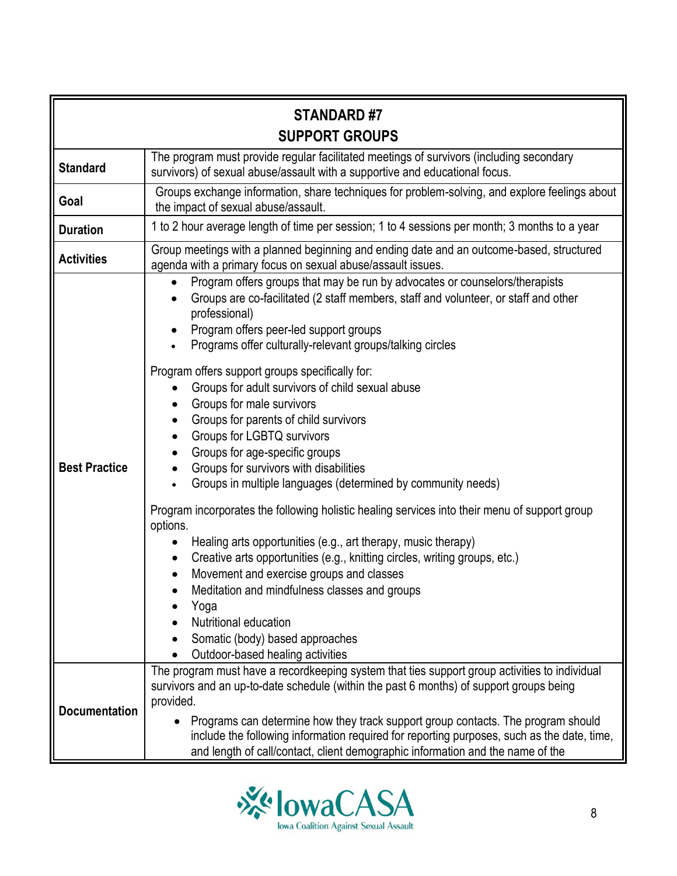| <b>STANDARD#7</b><br><b>SUPPORT GROUPS</b> |                                                                                                                                                                                                                                                                                                                                                                                                                                                                                                                                                                                                                                                                                                                                                                                                                                                                                                                                                                                                                                                                                                                                                                                                  |
|--------------------------------------------|--------------------------------------------------------------------------------------------------------------------------------------------------------------------------------------------------------------------------------------------------------------------------------------------------------------------------------------------------------------------------------------------------------------------------------------------------------------------------------------------------------------------------------------------------------------------------------------------------------------------------------------------------------------------------------------------------------------------------------------------------------------------------------------------------------------------------------------------------------------------------------------------------------------------------------------------------------------------------------------------------------------------------------------------------------------------------------------------------------------------------------------------------------------------------------------------------|
| <b>Standard</b>                            | The program must provide regular facilitated meetings of survivors (including secondary<br>survivors) of sexual abuse/assault with a supportive and educational focus.                                                                                                                                                                                                                                                                                                                                                                                                                                                                                                                                                                                                                                                                                                                                                                                                                                                                                                                                                                                                                           |
| Goal                                       | Groups exchange information, share techniques for problem-solving, and explore feelings about<br>the impact of sexual abuse/assault.                                                                                                                                                                                                                                                                                                                                                                                                                                                                                                                                                                                                                                                                                                                                                                                                                                                                                                                                                                                                                                                             |
| <b>Duration</b>                            | 1 to 2 hour average length of time per session; 1 to 4 sessions per month; 3 months to a year                                                                                                                                                                                                                                                                                                                                                                                                                                                                                                                                                                                                                                                                                                                                                                                                                                                                                                                                                                                                                                                                                                    |
| <b>Activities</b>                          | Group meetings with a planned beginning and ending date and an outcome-based, structured<br>agenda with a primary focus on sexual abuse/assault issues.                                                                                                                                                                                                                                                                                                                                                                                                                                                                                                                                                                                                                                                                                                                                                                                                                                                                                                                                                                                                                                          |
| <b>Best Practice</b>                       | Program offers groups that may be run by advocates or counselors/therapists<br>Groups are co-facilitated (2 staff members, staff and volunteer, or staff and other<br>professional)<br>Program offers peer-led support groups<br>Programs offer culturally-relevant groups/talking circles<br>Program offers support groups specifically for:<br>Groups for adult survivors of child sexual abuse<br>Groups for male survivors<br>$\bullet$<br>Groups for parents of child survivors<br>$\bullet$<br>Groups for LGBTQ survivors<br>Groups for age-specific groups<br>$\bullet$<br>Groups for survivors with disabilities<br>$\bullet$<br>Groups in multiple languages (determined by community needs)<br>$\bullet$<br>Program incorporates the following holistic healing services into their menu of support group<br>options.<br>Healing arts opportunities (e.g., art therapy, music therapy)<br>Creative arts opportunities (e.g., knitting circles, writing groups, etc.)<br>$\bullet$<br>Movement and exercise groups and classes<br>Meditation and mindfulness classes and groups<br>Yoga<br>Nutritional education<br>Somatic (body) based approaches<br>Outdoor-based healing activities |
| <b>Documentation</b>                       | The program must have a recordkeeping system that ties support group activities to individual<br>survivors and an up-to-date schedule (within the past 6 months) of support groups being<br>provided.<br>Programs can determine how they track support group contacts. The program should<br>include the following information required for reporting purposes, such as the date, time,<br>and length of call/contact, client demographic information and the name of the                                                                                                                                                                                                                                                                                                                                                                                                                                                                                                                                                                                                                                                                                                                        |

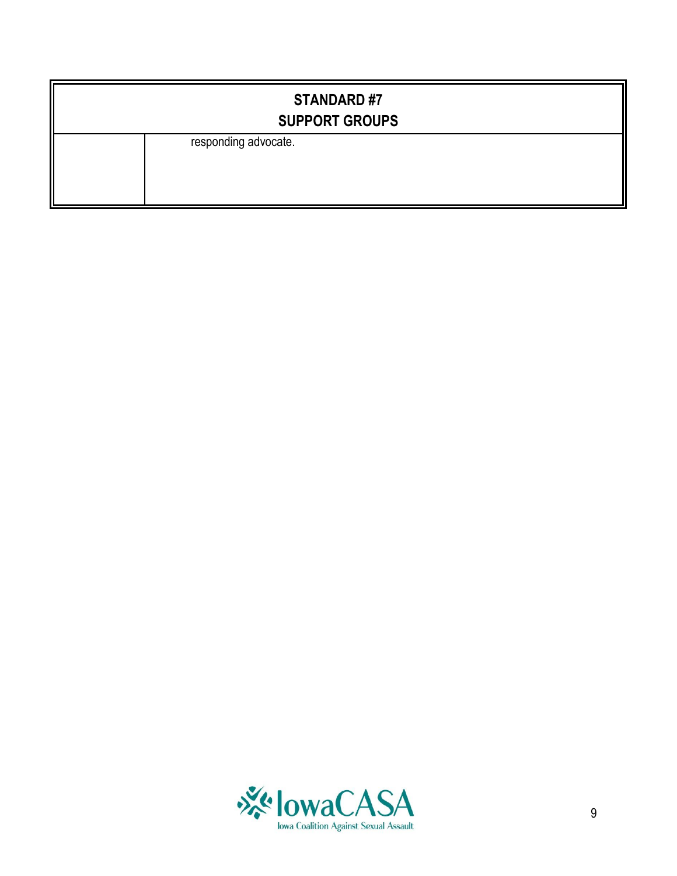| <b>STANDARD#7</b><br><b>SUPPORT GROUPS</b> |
|--------------------------------------------|
| responding advocate.                       |

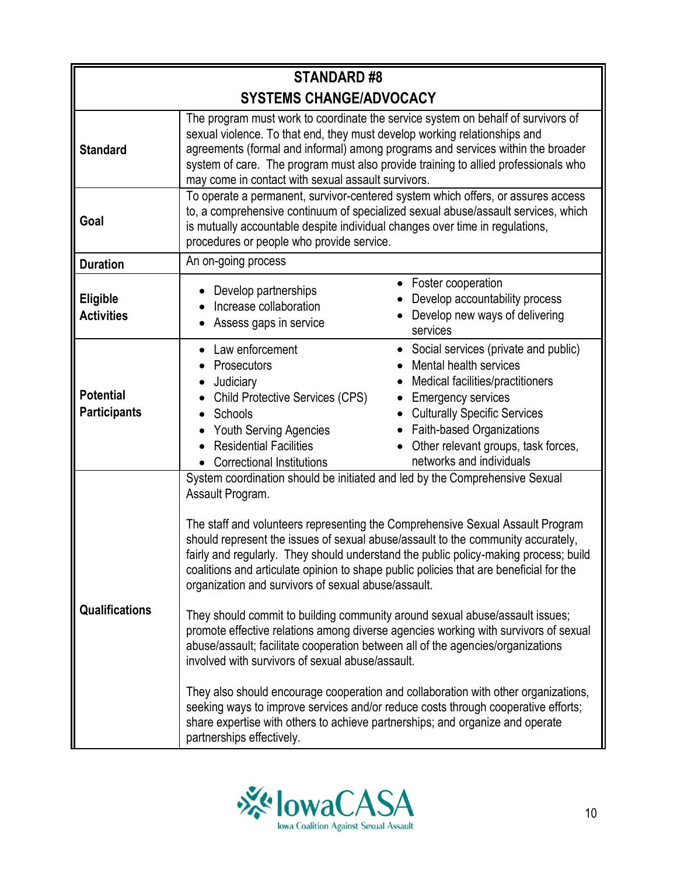| <b>STANDARD#8</b>                       |                                                                                                                                                                                                                                                                                                                                                                                                                                                                                             |                                                                                                                                                                                                                                                                                                                                                                                                                                                                                                                                                                                                                        |
|-----------------------------------------|---------------------------------------------------------------------------------------------------------------------------------------------------------------------------------------------------------------------------------------------------------------------------------------------------------------------------------------------------------------------------------------------------------------------------------------------------------------------------------------------|------------------------------------------------------------------------------------------------------------------------------------------------------------------------------------------------------------------------------------------------------------------------------------------------------------------------------------------------------------------------------------------------------------------------------------------------------------------------------------------------------------------------------------------------------------------------------------------------------------------------|
|                                         | <b>SYSTEMS CHANGE/ADVOCACY</b>                                                                                                                                                                                                                                                                                                                                                                                                                                                              |                                                                                                                                                                                                                                                                                                                                                                                                                                                                                                                                                                                                                        |
| <b>Standard</b>                         | sexual violence. To that end, they must develop working relationships and<br>may come in contact with sexual assault survivors.                                                                                                                                                                                                                                                                                                                                                             | The program must work to coordinate the service system on behalf of survivors of<br>agreements (formal and informal) among programs and services within the broader<br>system of care. The program must also provide training to allied professionals who                                                                                                                                                                                                                                                                                                                                                              |
| Goal                                    | is mutually accountable despite individual changes over time in regulations,<br>procedures or people who provide service.                                                                                                                                                                                                                                                                                                                                                                   | To operate a permanent, survivor-centered system which offers, or assures access<br>to, a comprehensive continuum of specialized sexual abuse/assault services, which                                                                                                                                                                                                                                                                                                                                                                                                                                                  |
| <b>Duration</b>                         | An on-going process                                                                                                                                                                                                                                                                                                                                                                                                                                                                         |                                                                                                                                                                                                                                                                                                                                                                                                                                                                                                                                                                                                                        |
| <b>Eligible</b><br><b>Activities</b>    | Develop partnerships<br>Increase collaboration<br>Assess gaps in service                                                                                                                                                                                                                                                                                                                                                                                                                    | Foster cooperation<br>$\bullet$<br>Develop accountability process<br>Develop new ways of delivering<br>services                                                                                                                                                                                                                                                                                                                                                                                                                                                                                                        |
| <b>Potential</b><br><b>Participants</b> | Law enforcement<br>Prosecutors<br>Judiciary<br><b>Child Protective Services (CPS)</b><br>Schools<br>Youth Serving Agencies<br><b>Residential Facilities</b><br><b>Correctional Institutions</b><br>$\bullet$                                                                                                                                                                                                                                                                                | Social services (private and public)<br>Mental health services<br>Medical facilities/practitioners<br><b>Emergency services</b><br><b>Culturally Specific Services</b><br>Faith-based Organizations<br>$\bullet$<br>Other relevant groups, task forces,<br>networks and individuals                                                                                                                                                                                                                                                                                                                                    |
| <b>Qualifications</b>                   | System coordination should be initiated and led by the Comprehensive Sexual<br>Assault Program.<br>organization and survivors of sexual abuse/assault.<br>They should commit to building community around sexual abuse/assault issues;<br>abuse/assault; facilitate cooperation between all of the agencies/organizations<br>involved with survivors of sexual abuse/assault.<br>share expertise with others to achieve partnerships; and organize and operate<br>partnerships effectively. | The staff and volunteers representing the Comprehensive Sexual Assault Program<br>should represent the issues of sexual abuse/assault to the community accurately,<br>fairly and regularly. They should understand the public policy-making process; build<br>coalitions and articulate opinion to shape public policies that are beneficial for the<br>promote effective relations among diverse agencies working with survivors of sexual<br>They also should encourage cooperation and collaboration with other organizations,<br>seeking ways to improve services and/or reduce costs through cooperative efforts; |

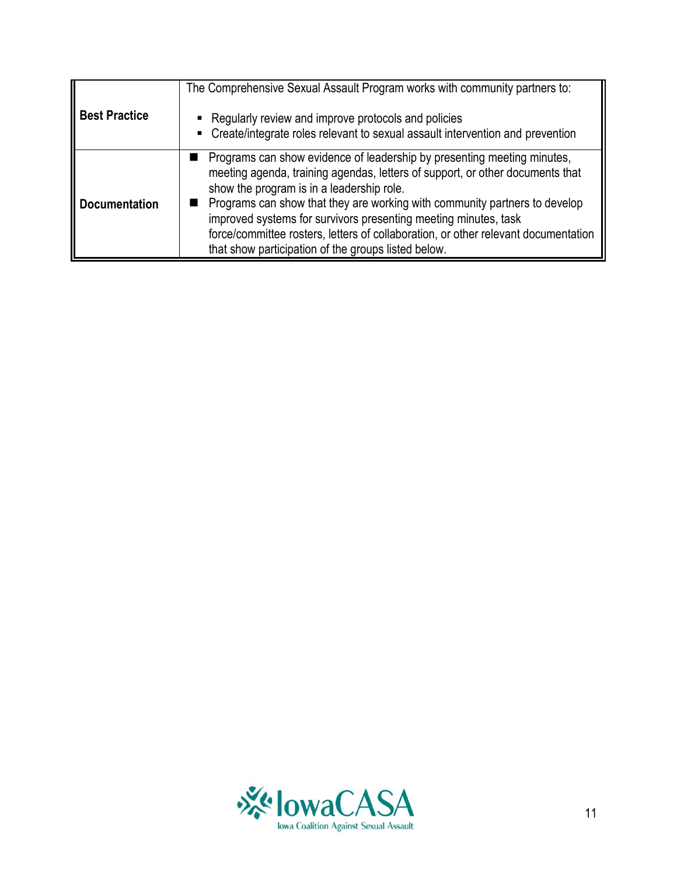| <b>Best Practice</b> | The Comprehensive Sexual Assault Program works with community partners to:<br>• Regularly review and improve protocols and policies<br>• Create/integrate roles relevant to sexual assault intervention and prevention                                                                                                                                                                                                                                                                              |
|----------------------|-----------------------------------------------------------------------------------------------------------------------------------------------------------------------------------------------------------------------------------------------------------------------------------------------------------------------------------------------------------------------------------------------------------------------------------------------------------------------------------------------------|
| <b>Documentation</b> | Programs can show evidence of leadership by presenting meeting minutes,<br>meeting agenda, training agendas, letters of support, or other documents that<br>show the program is in a leadership role.<br>Programs can show that they are working with community partners to develop<br>improved systems for survivors presenting meeting minutes, task<br>force/committee rosters, letters of collaboration, or other relevant documentation<br>that show participation of the groups listed below. |

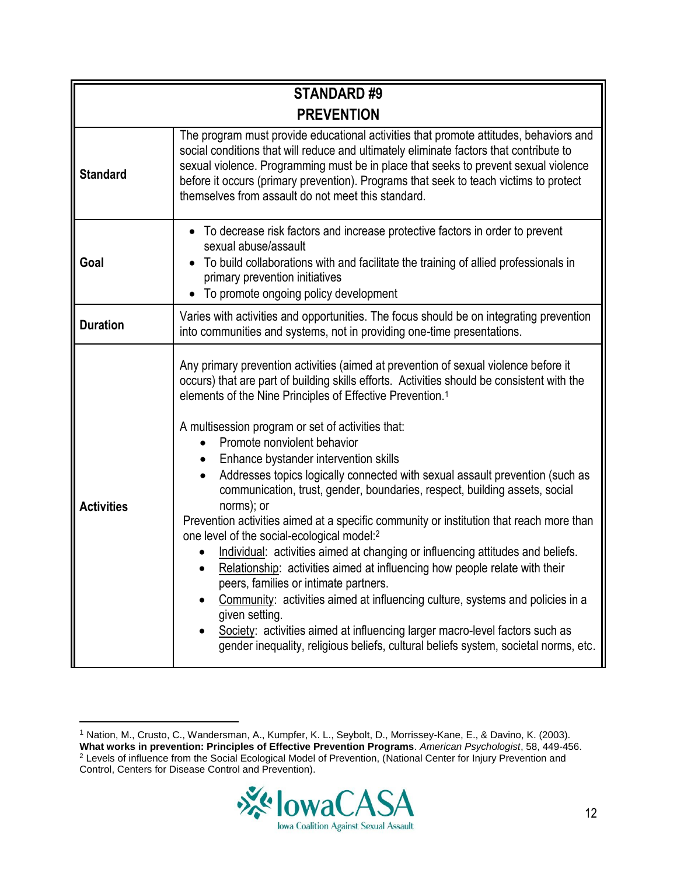| <b>STANDARD#9</b> |                                                                                                                                                                                                                                                                                                                                                                                                                                                                                                                                                                                                                                                                                                                                                                                                                                                                                                                                                                                                                                                                                                                                                                                                                          |  |
|-------------------|--------------------------------------------------------------------------------------------------------------------------------------------------------------------------------------------------------------------------------------------------------------------------------------------------------------------------------------------------------------------------------------------------------------------------------------------------------------------------------------------------------------------------------------------------------------------------------------------------------------------------------------------------------------------------------------------------------------------------------------------------------------------------------------------------------------------------------------------------------------------------------------------------------------------------------------------------------------------------------------------------------------------------------------------------------------------------------------------------------------------------------------------------------------------------------------------------------------------------|--|
| <b>PREVENTION</b> |                                                                                                                                                                                                                                                                                                                                                                                                                                                                                                                                                                                                                                                                                                                                                                                                                                                                                                                                                                                                                                                                                                                                                                                                                          |  |
| <b>Standard</b>   | The program must provide educational activities that promote attitudes, behaviors and<br>social conditions that will reduce and ultimately eliminate factors that contribute to<br>sexual violence. Programming must be in place that seeks to prevent sexual violence<br>before it occurs (primary prevention). Programs that seek to teach victims to protect<br>themselves from assault do not meet this standard.                                                                                                                                                                                                                                                                                                                                                                                                                                                                                                                                                                                                                                                                                                                                                                                                    |  |
| Goal              | To decrease risk factors and increase protective factors in order to prevent<br>sexual abuse/assault<br>To build collaborations with and facilitate the training of allied professionals in<br>primary prevention initiatives<br>To promote ongoing policy development                                                                                                                                                                                                                                                                                                                                                                                                                                                                                                                                                                                                                                                                                                                                                                                                                                                                                                                                                   |  |
| <b>Duration</b>   | Varies with activities and opportunities. The focus should be on integrating prevention<br>into communities and systems, not in providing one-time presentations.                                                                                                                                                                                                                                                                                                                                                                                                                                                                                                                                                                                                                                                                                                                                                                                                                                                                                                                                                                                                                                                        |  |
| <b>Activities</b> | Any primary prevention activities (aimed at prevention of sexual violence before it<br>occurs) that are part of building skills efforts. Activities should be consistent with the<br>elements of the Nine Principles of Effective Prevention. <sup>1</sup><br>A multisession program or set of activities that:<br>Promote nonviolent behavior<br>Enhance bystander intervention skills<br>$\bullet$<br>Addresses topics logically connected with sexual assault prevention (such as<br>$\bullet$<br>communication, trust, gender, boundaries, respect, building assets, social<br>norms); or<br>Prevention activities aimed at a specific community or institution that reach more than<br>one level of the social-ecological model:2<br>Individual: activities aimed at changing or influencing attitudes and beliefs.<br>Relationship: activities aimed at influencing how people relate with their<br>peers, families or intimate partners.<br>Community: activities aimed at influencing culture, systems and policies in a<br>given setting.<br>Society: activities aimed at influencing larger macro-level factors such as<br>gender inequality, religious beliefs, cultural beliefs system, societal norms, etc. |  |

 $\overline{a}$ 



<sup>1</sup> Nation, M., Crusto, C., Wandersman, A., Kumpfer, K. L., Seybolt, D., Morrissey-Kane, E., & Davino, K. (2003). **What works in prevention: Principles of Effective Prevention Programs**. *American Psychologist*, 58, 449-456. <sup>2</sup> Levels of influence from the Social Ecological Model of Prevention, (National Center for Injury Prevention and Control, Centers for Disease Control and Prevention).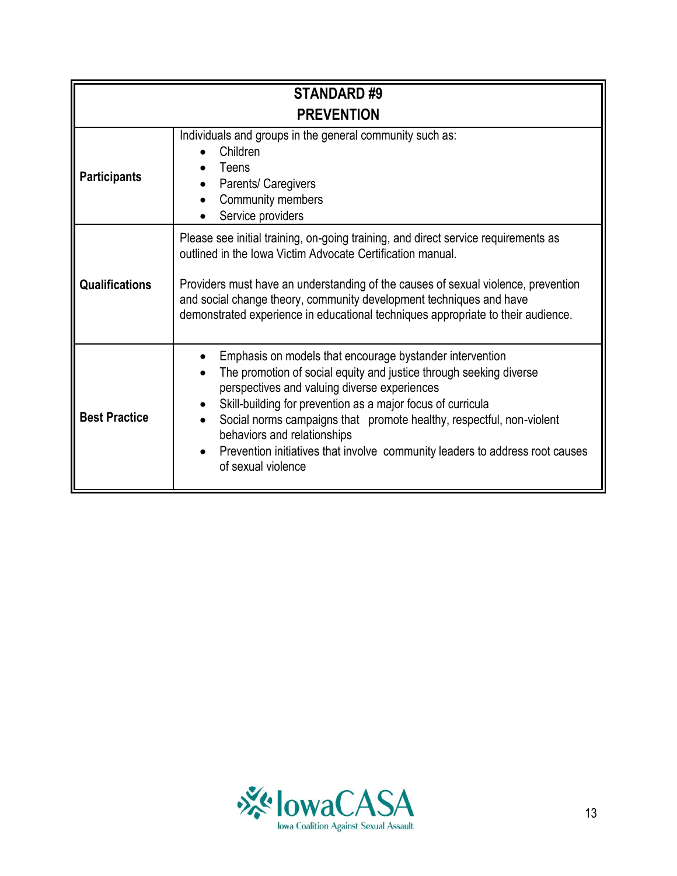| <b>STANDARD#9</b>     |                                                                                                                                                                                                                                                                                                                                                                                                                                                            |
|-----------------------|------------------------------------------------------------------------------------------------------------------------------------------------------------------------------------------------------------------------------------------------------------------------------------------------------------------------------------------------------------------------------------------------------------------------------------------------------------|
|                       | <b>PREVENTION</b>                                                                                                                                                                                                                                                                                                                                                                                                                                          |
| <b>Participants</b>   | Individuals and groups in the general community such as:<br>Children<br>Teens<br>Parents/ Caregivers<br>Community members<br>Service providers                                                                                                                                                                                                                                                                                                             |
| <b>Qualifications</b> | Please see initial training, on-going training, and direct service requirements as<br>outlined in the Iowa Victim Advocate Certification manual.<br>Providers must have an understanding of the causes of sexual violence, prevention<br>and social change theory, community development techniques and have<br>demonstrated experience in educational techniques appropriate to their audience.                                                           |
| <b>Best Practice</b>  | Emphasis on models that encourage bystander intervention<br>The promotion of social equity and justice through seeking diverse<br>perspectives and valuing diverse experiences<br>Skill-building for prevention as a major focus of curricula<br>Social norms campaigns that promote healthy, respectful, non-violent<br>behaviors and relationships<br>Prevention initiatives that involve community leaders to address root causes<br>of sexual violence |

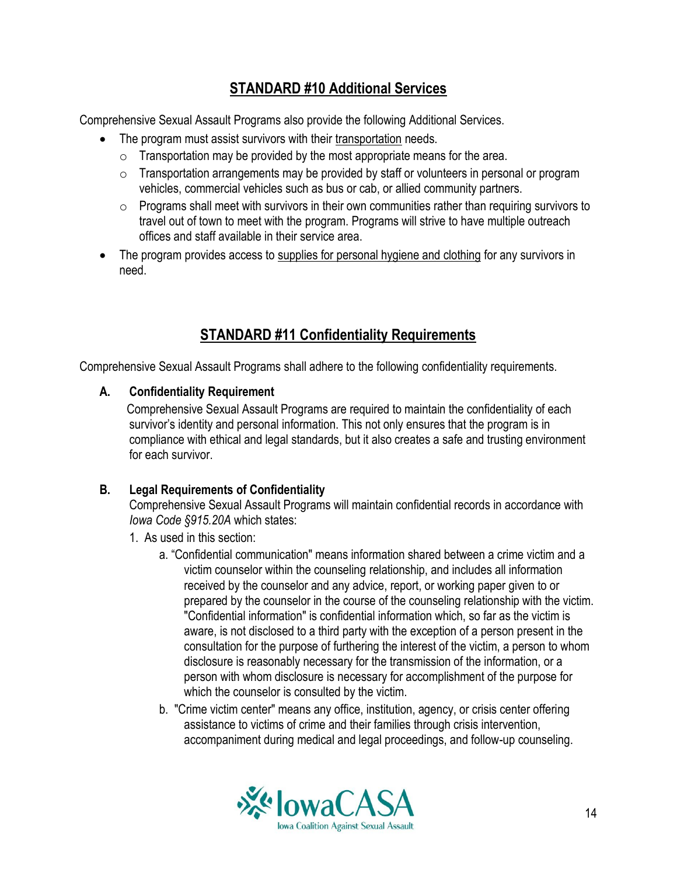# **STANDARD #10 Additional Services**

Comprehensive Sexual Assault Programs also provide the following Additional Services.

- The program must assist survivors with their transportation needs.
	- $\circ$  Transportation may be provided by the most appropriate means for the area.
	- $\circ$  Transportation arrangements may be provided by staff or volunteers in personal or program vehicles, commercial vehicles such as bus or cab, or allied community partners.
	- $\circ$  Programs shall meet with survivors in their own communities rather than requiring survivors to travel out of town to meet with the program. Programs will strive to have multiple outreach offices and staff available in their service area.
- The program provides access to supplies for personal hygiene and clothing for any survivors in need.

# **STANDARD #11 Confidentiality Requirements**

Comprehensive Sexual Assault Programs shall adhere to the following confidentiality requirements.

# **A. Confidentiality Requirement**

 Comprehensive Sexual Assault Programs are required to maintain the confidentiality of each survivor's identity and personal information. This not only ensures that the program is in compliance with ethical and legal standards, but it also creates a safe and trusting environment for each survivor.

# **B. Legal Requirements of Confidentiality**

Comprehensive Sexual Assault Programs will maintain confidential records in accordance with *Iowa Code §915.20A* which states:

- 1. As used in this section:
	- a. "Confidential communication" means information shared between a crime victim and a victim counselor within the counseling relationship, and includes all information received by the counselor and any advice, report, or working paper given to or prepared by the counselor in the course of the counseling relationship with the victim. "Confidential information" is confidential information which, so far as the victim is aware, is not disclosed to a third party with the exception of a person present in the consultation for the purpose of furthering the interest of the victim, a person to whom disclosure is reasonably necessary for the transmission of the information, or a person with whom disclosure is necessary for accomplishment of the purpose for which the counselor is consulted by the victim.
	- b. "Crime victim center" means any office, institution, agency, or crisis center offering assistance to victims of crime and their families through crisis intervention, accompaniment during medical and legal proceedings, and follow-up counseling.

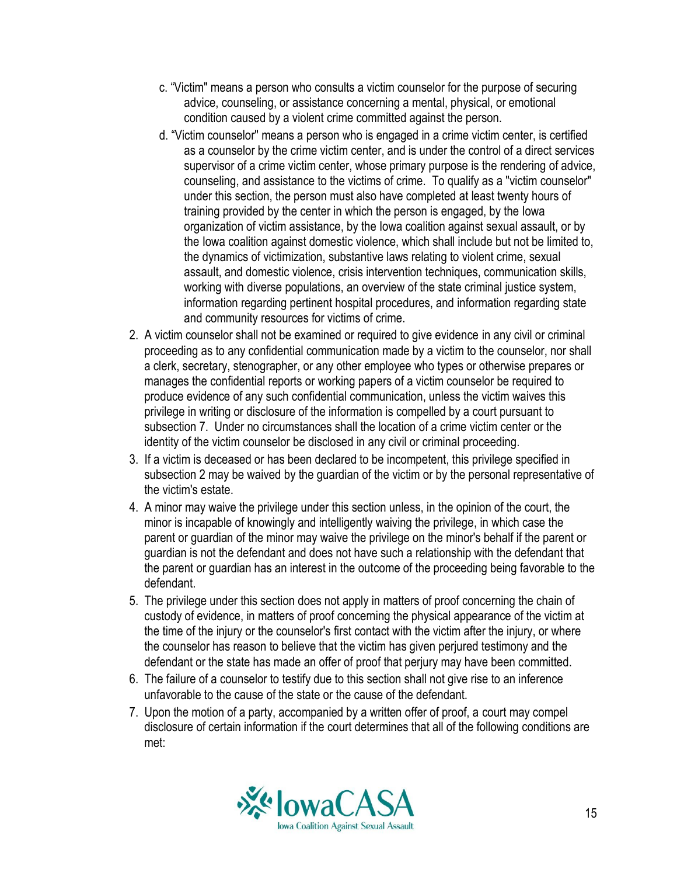- c. "Victim" means a person who consults a victim counselor for the purpose of securing advice, counseling, or assistance concerning a mental, physical, or emotional condition caused by a violent crime committed against the person.
- d. "Victim counselor" means a person who is engaged in a crime victim center, is certified as a counselor by the crime victim center, and is under the control of a direct services supervisor of a crime victim center, whose primary purpose is the rendering of advice, counseling, and assistance to the victims of crime. To qualify as a "victim counselor" under this section, the person must also have completed at least twenty hours of training provided by the center in which the person is engaged, by the Iowa organization of victim assistance, by the Iowa coalition against sexual assault, or by the Iowa coalition against domestic violence, which shall include but not be limited to, the dynamics of victimization, substantive laws relating to violent crime, sexual assault, and domestic violence, crisis intervention techniques, communication skills, working with diverse populations, an overview of the state criminal justice system, information regarding pertinent hospital procedures, and information regarding state and community resources for victims of crime.
- 2. A victim counselor shall not be examined or required to give evidence in any civil or criminal proceeding as to any confidential communication made by a victim to the counselor, nor shall a clerk, secretary, stenographer, or any other employee who types or otherwise prepares or manages the confidential reports or working papers of a victim counselor be required to produce evidence of any such confidential communication, unless the victim waives this privilege in writing or disclosure of the information is compelled by a court pursuant to subsection 7. Under no circumstances shall the location of a crime victim center or the identity of the victim counselor be disclosed in any civil or criminal proceeding.
- 3. If a victim is deceased or has been declared to be incompetent, this privilege specified in subsection 2 may be waived by the guardian of the victim or by the personal representative of the victim's estate.
- 4. A minor may waive the privilege under this section unless, in the opinion of the court, the minor is incapable of knowingly and intelligently waiving the privilege, in which case the parent or guardian of the minor may waive the privilege on the minor's behalf if the parent or guardian is not the defendant and does not have such a relationship with the defendant that the parent or guardian has an interest in the outcome of the proceeding being favorable to the defendant.
- 5. The privilege under this section does not apply in matters of proof concerning the chain of custody of evidence, in matters of proof concerning the physical appearance of the victim at the time of the injury or the counselor's first contact with the victim after the injury, or where the counselor has reason to believe that the victim has given perjured testimony and the defendant or the state has made an offer of proof that perjury may have been committed.
- 6. The failure of a counselor to testify due to this section shall not give rise to an inference unfavorable to the cause of the state or the cause of the defendant.
- 7. Upon the motion of a party, accompanied by a written offer of proof, a court may compel disclosure of certain information if the court determines that all of the following conditions are met:

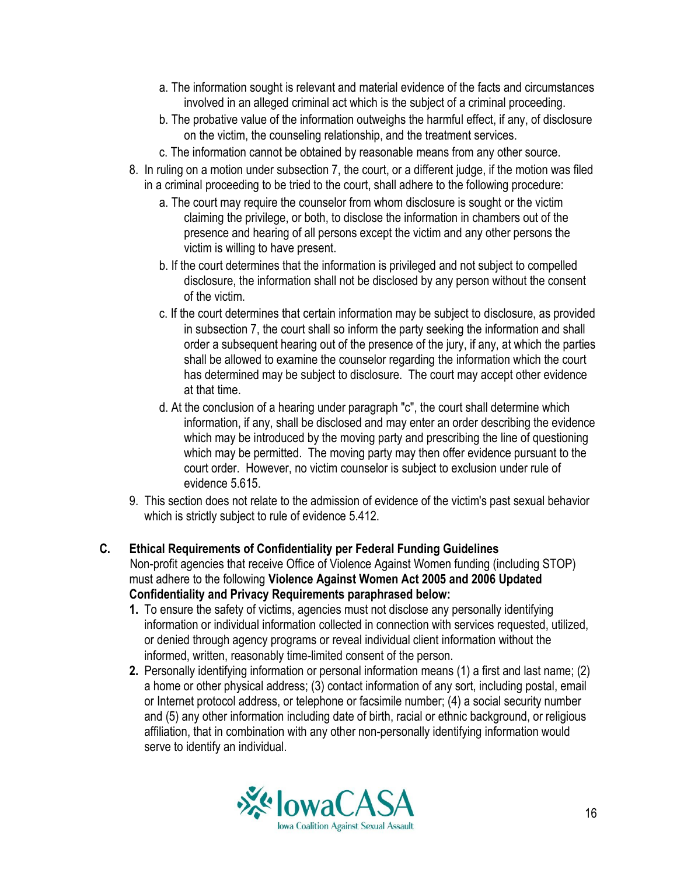- a. The information sought is relevant and material evidence of the facts and circumstances involved in an alleged criminal act which is the subject of a criminal proceeding.
- b. The probative value of the information outweighs the harmful effect, if any, of disclosure on the victim, the counseling relationship, and the treatment services.
- c. The information cannot be obtained by reasonable means from any other source.
- 8. In ruling on a motion under subsection 7, the court, or a different judge, if the motion was filed in a criminal proceeding to be tried to the court, shall adhere to the following procedure:
	- a. The court may require the counselor from whom disclosure is sought or the victim claiming the privilege, or both, to disclose the information in chambers out of the presence and hearing of all persons except the victim and any other persons the victim is willing to have present.
	- b. If the court determines that the information is privileged and not subject to compelled disclosure, the information shall not be disclosed by any person without the consent of the victim.
	- c. If the court determines that certain information may be subject to disclosure, as provided in subsection 7, the court shall so inform the party seeking the information and shall order a subsequent hearing out of the presence of the jury, if any, at which the parties shall be allowed to examine the counselor regarding the information which the court has determined may be subject to disclosure. The court may accept other evidence at that time.
	- d. At the conclusion of a hearing under paragraph "c", the court shall determine which information, if any, shall be disclosed and may enter an order describing the evidence which may be introduced by the moving party and prescribing the line of questioning which may be permitted. The moving party may then offer evidence pursuant to the court order. However, no victim counselor is subject to exclusion under rule of evidence 5.615.
- 9. This section does not relate to the admission of evidence of the victim's past sexual behavior which is strictly subject to rule of evidence 5.412.
- **C. Ethical Requirements of Confidentiality per Federal Funding Guidelines** Non-profit agencies that receive Office of Violence Against Women funding (including STOP) must adhere to the following **Violence Against Women Act 2005 and 2006 Updated Confidentiality and Privacy Requirements paraphrased below:**
	- **1.** To ensure the safety of victims, agencies must not disclose any personally identifying information or individual information collected in connection with services requested, utilized, or denied through agency programs or reveal individual client information without the informed, written, reasonably time-limited consent of the person.
	- **2.** Personally identifying information or personal information means (1) a first and last name; (2) a home or other physical address; (3) contact information of any sort, including postal, email or Internet protocol address, or telephone or facsimile number; (4) a social security number and (5) any other information including date of birth, racial or ethnic background, or religious affiliation, that in combination with any other non-personally identifying information would serve to identify an individual.

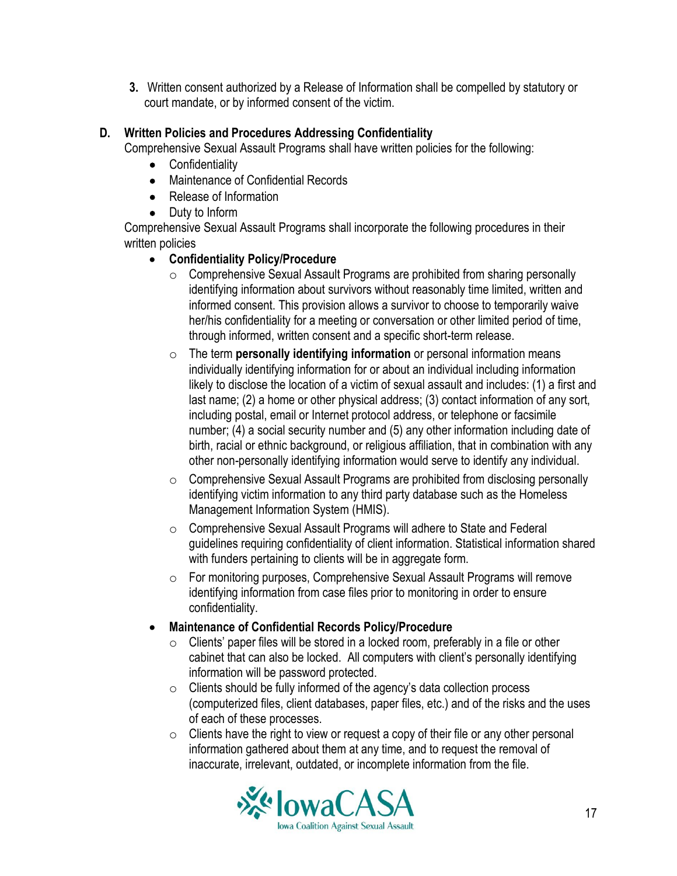**3.** Written consent authorized by a Release of Information shall be compelled by statutory or court mandate, or by informed consent of the victim.

## **D. Written Policies and Procedures Addressing Confidentiality**

Comprehensive Sexual Assault Programs shall have written policies for the following:

- Confidentiality
- Maintenance of Confidential Records
- Release of Information
- Duty to Inform

Comprehensive Sexual Assault Programs shall incorporate the following procedures in their written policies

#### **Confidentiality Policy/Procedure**

- o Comprehensive Sexual Assault Programs are prohibited from sharing personally identifying information about survivors without reasonably time limited, written and informed consent. This provision allows a survivor to choose to temporarily waive her/his confidentiality for a meeting or conversation or other limited period of time, through informed, written consent and a specific short-term release.
- o The term **personally identifying information** or personal information means individually identifying information for or about an individual including information likely to disclose the location of a victim of sexual assault and includes: (1) a first and last name; (2) a home or other physical address; (3) contact information of any sort, including postal, email or Internet protocol address, or telephone or facsimile number; (4) a social security number and (5) any other information including date of birth, racial or ethnic background, or religious affiliation, that in combination with any other non-personally identifying information would serve to identify any individual.
- o Comprehensive Sexual Assault Programs are prohibited from disclosing personally identifying victim information to any third party database such as the Homeless Management Information System (HMIS).
- o Comprehensive Sexual Assault Programs will adhere to State and Federal guidelines requiring confidentiality of client information. Statistical information shared with funders pertaining to clients will be in aggregate form.
- o For monitoring purposes, Comprehensive Sexual Assault Programs will remove identifying information from case files prior to monitoring in order to ensure confidentiality.
- **Maintenance of Confidential Records Policy/Procedure**
	- $\circ$  Clients' paper files will be stored in a locked room, preferably in a file or other cabinet that can also be locked. All computers with client's personally identifying information will be password protected.
	- $\circ$  Clients should be fully informed of the agency's data collection process (computerized files, client databases, paper files, etc.) and of the risks and the uses of each of these processes.
	- $\circ$  Clients have the right to view or request a copy of their file or any other personal information gathered about them at any time, and to request the removal of inaccurate, irrelevant, outdated, or incomplete information from the file.

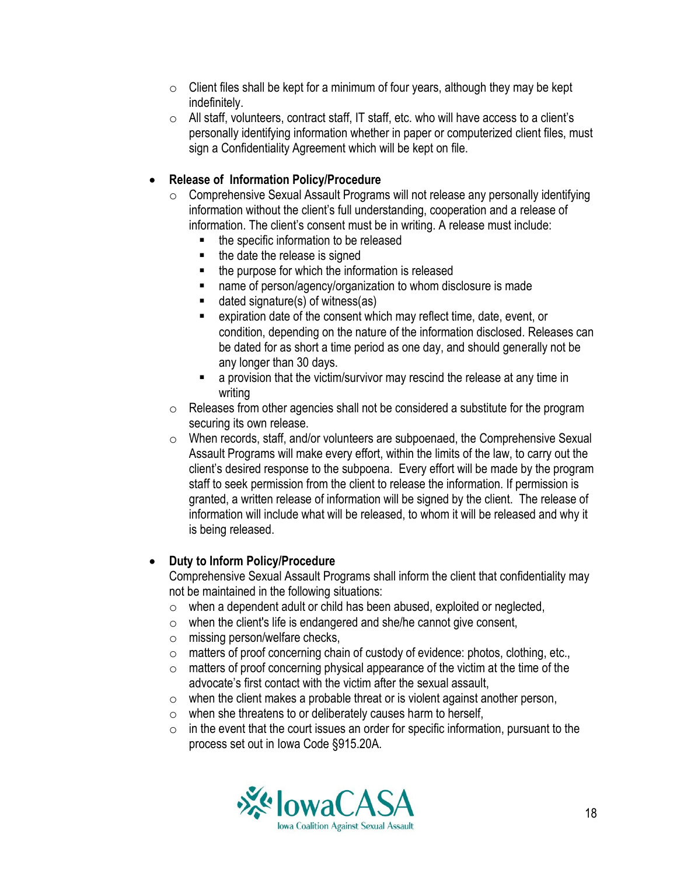- $\circ$  Client files shall be kept for a minimum of four years, although they may be kept indefinitely.
- o All staff, volunteers, contract staff, IT staff, etc. who will have access to a client's personally identifying information whether in paper or computerized client files, must sign a Confidentiality Agreement which will be kept on file.

#### **Release of Information Policy/Procedure**

- o Comprehensive Sexual Assault Programs will not release any personally identifying information without the client's full understanding, cooperation and a release of information. The client's consent must be in writing. A release must include:
	- the specific information to be released
	- the date the release is signed
	- the purpose for which the information is released
	- name of person/agency/organization to whom disclosure is made
	- dated signature(s) of witness(as)
	- expiration date of the consent which may reflect time, date, event, or condition, depending on the nature of the information disclosed. Releases can be dated for as short a time period as one day, and should generally not be any longer than 30 days.
	- **EXTERUTE:** a provision that the victim/survivor may rescind the release at any time in writing
- o Releases from other agencies shall not be considered a substitute for the program securing its own release.
- o When records, staff, and/or volunteers are subpoenaed, the Comprehensive Sexual Assault Programs will make every effort, within the limits of the law, to carry out the client's desired response to the subpoena. Every effort will be made by the program staff to seek permission from the client to release the information. If permission is granted, a written release of information will be signed by the client. The release of information will include what will be released, to whom it will be released and why it is being released.

#### **Duty to Inform Policy/Procedure**

Comprehensive Sexual Assault Programs shall inform the client that confidentiality may not be maintained in the following situations:

- o when a dependent adult or child has been abused, exploited or neglected,
- $\circ$  when the client's life is endangered and she/he cannot give consent,
- o missing person/welfare checks,
- o matters of proof concerning chain of custody of evidence: photos, clothing, etc.,
- $\circ$  matters of proof concerning physical appearance of the victim at the time of the advocate's first contact with the victim after the sexual assault,
- $\circ$  when the client makes a probable threat or is violent against another person,
- o when she threatens to or deliberately causes harm to herself,
- $\circ$  in the event that the court issues an order for specific information, pursuant to the process set out in Iowa Code §915.20A.

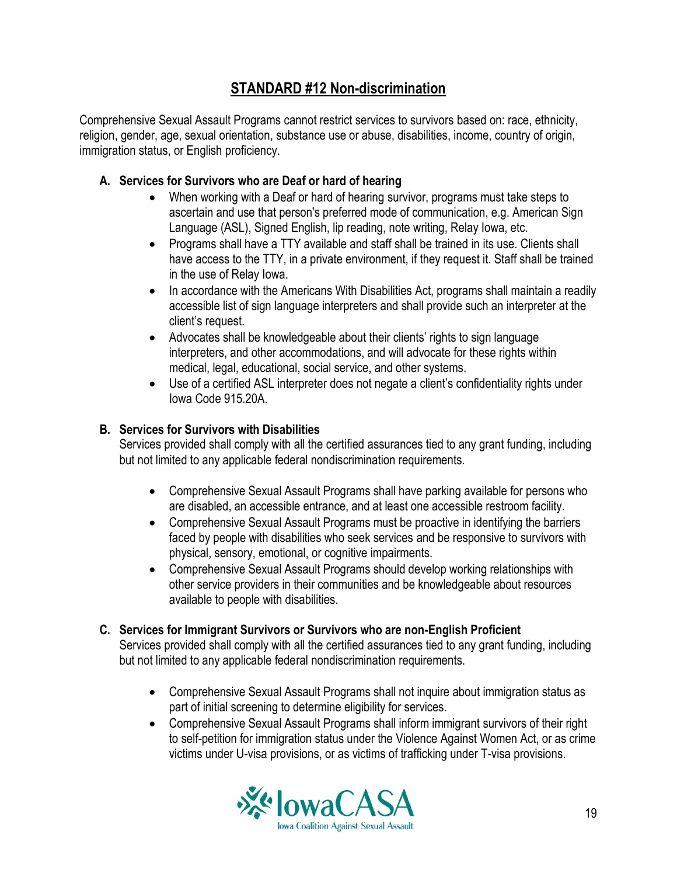# **STANDARD #12 Non-discrimination**

Comprehensive Sexual Assault Programs cannot restrict services to survivors based on: race, ethnicity, religion, gender, age, sexual orientation, substance use or abuse, disabilities, income, country of origin, immigration status, or English proficiency.

## **A. Services for Survivors who are Deaf or hard of hearing**

- When working with a Deaf or hard of hearing survivor, programs must take steps to ascertain and use that person's preferred mode of communication, e.g. American Sign Language (ASL), Signed English, lip reading, note writing, Relay Iowa, etc.
- Programs shall have a TTY available and staff shall be trained in its use. Clients shall have access to the TTY, in a private environment, if they request it. Staff shall be trained in the use of Relay Iowa.
- In accordance with the Americans With Disabilities Act, programs shall maintain a readily accessible list of sign language interpreters and shall provide such an interpreter at the client's request.
- Advocates shall be knowledgeable about their clients' rights to sign language interpreters, and other accommodations, and will advocate for these rights within medical, legal, educational, social service, and other systems.
- Use of a certified ASL interpreter does not negate a client's confidentiality rights under Iowa Code 915.20A.

## **B. Services for Survivors with Disabilities**

Services provided shall comply with all the certified assurances tied to any grant funding, including but not limited to any applicable federal nondiscrimination requirements.

- Comprehensive Sexual Assault Programs shall have parking available for persons who are disabled, an accessible entrance, and at least one accessible restroom facility.
- Comprehensive Sexual Assault Programs must be proactive in identifying the barriers faced by people with disabilities who seek services and be responsive to survivors with physical, sensory, emotional, or cognitive impairments.
- Comprehensive Sexual Assault Programs should develop working relationships with other service providers in their communities and be knowledgeable about resources available to people with disabilities.

#### **C. Services for Immigrant Survivors or Survivors who are non-English Proficient**

Services provided shall comply with all the certified assurances tied to any grant funding, including but not limited to any applicable federal nondiscrimination requirements.

- Comprehensive Sexual Assault Programs shall not inquire about immigration status as part of initial screening to determine eligibility for services.
- Comprehensive Sexual Assault Programs shall inform immigrant survivors of their right to self-petition for immigration status under the Violence Against Women Act, or as crime victims under U-visa provisions, or as victims of trafficking under T-visa provisions.

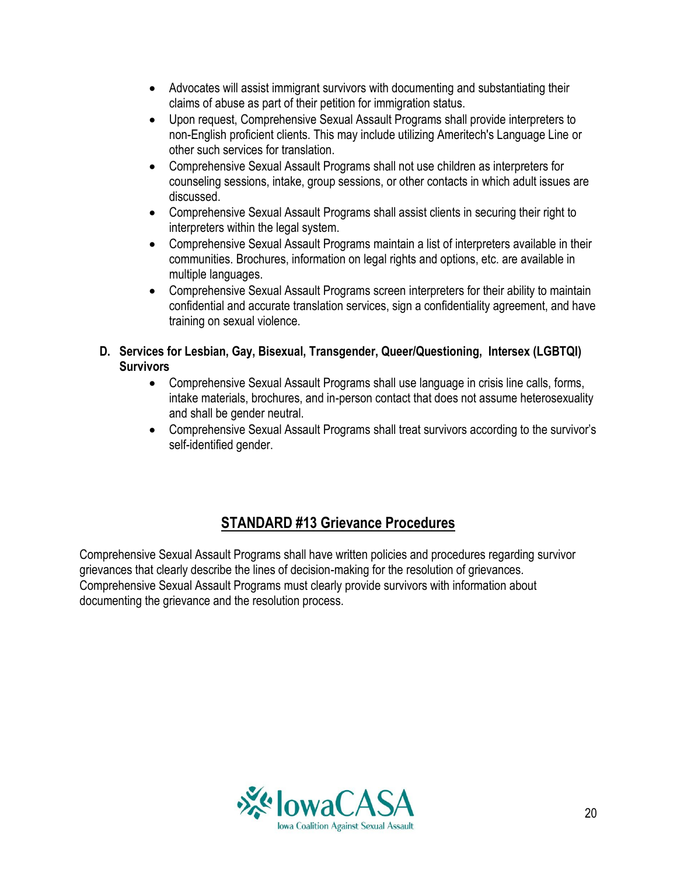- Advocates will assist immigrant survivors with documenting and substantiating their claims of abuse as part of their petition for immigration status.
- Upon request, Comprehensive Sexual Assault Programs shall provide interpreters to non-English proficient clients. This may include utilizing Ameritech's Language Line or other such services for translation.
- Comprehensive Sexual Assault Programs shall not use children as interpreters for counseling sessions, intake, group sessions, or other contacts in which adult issues are discussed.
- Comprehensive Sexual Assault Programs shall assist clients in securing their right to interpreters within the legal system.
- Comprehensive Sexual Assault Programs maintain a list of interpreters available in their communities. Brochures, information on legal rights and options, etc. are available in multiple languages.
- Comprehensive Sexual Assault Programs screen interpreters for their ability to maintain confidential and accurate translation services, sign a confidentiality agreement, and have training on sexual violence.

## **D. Services for Lesbian, Gay, Bisexual, Transgender, Queer/Questioning, Intersex (LGBTQI) Survivors**

- Comprehensive Sexual Assault Programs shall use language in crisis line calls, forms, intake materials, brochures, and in-person contact that does not assume heterosexuality and shall be gender neutral.
- Comprehensive Sexual Assault Programs shall treat survivors according to the survivor's self-identified gender.

# **STANDARD #13 Grievance Procedures**

Comprehensive Sexual Assault Programs shall have written policies and procedures regarding survivor grievances that clearly describe the lines of decision-making for the resolution of grievances. Comprehensive Sexual Assault Programs must clearly provide survivors with information about documenting the grievance and the resolution process.

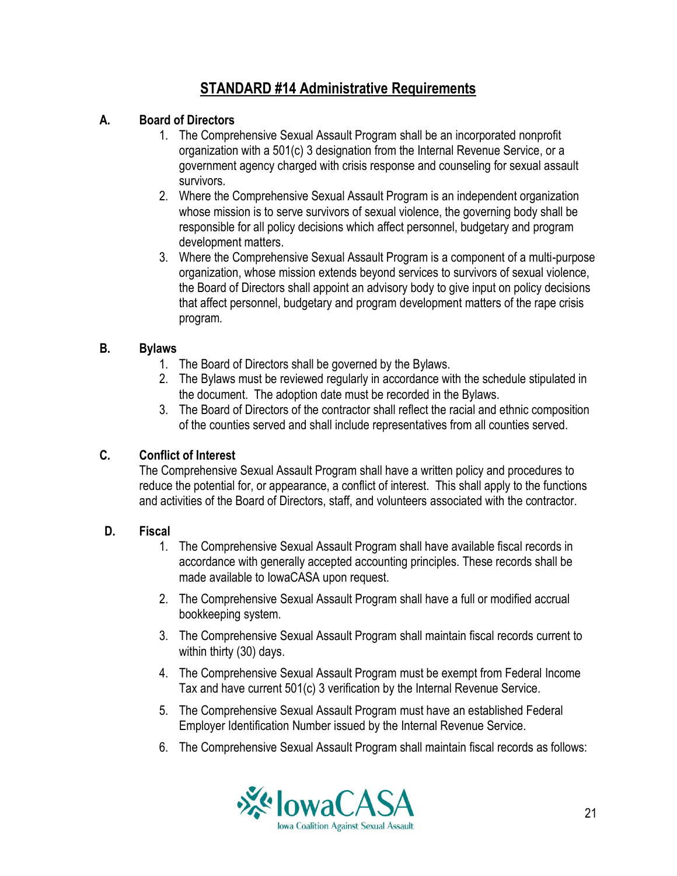# **STANDARD #14 Administrative Requirements**

#### **A. Board of Directors**

- 1. The Comprehensive Sexual Assault Program shall be an incorporated nonprofit organization with a 501(c) 3 designation from the Internal Revenue Service, or a government agency charged with crisis response and counseling for sexual assault survivors.
- 2. Where the Comprehensive Sexual Assault Program is an independent organization whose mission is to serve survivors of sexual violence, the governing body shall be responsible for all policy decisions which affect personnel, budgetary and program development matters.
- 3. Where the Comprehensive Sexual Assault Program is a component of a multi-purpose organization, whose mission extends beyond services to survivors of sexual violence, the Board of Directors shall appoint an advisory body to give input on policy decisions that affect personnel, budgetary and program development matters of the rape crisis program*.*

## **B. Bylaws**

- 1. The Board of Directors shall be governed by the Bylaws.
- 2. The Bylaws must be reviewed regularly in accordance with the schedule stipulated in the document. The adoption date must be recorded in the Bylaws.
- 3. The Board of Directors of the contractor shall reflect the racial and ethnic composition of the counties served and shall include representatives from all counties served.

# **C. Conflict of Interest**

The Comprehensive Sexual Assault Program shall have a written policy and procedures to reduce the potential for, or appearance, a conflict of interest. This shall apply to the functions and activities of the Board of Directors, staff, and volunteers associated with the contractor.

#### **D. Fiscal**

- 1. The Comprehensive Sexual Assault Program shall have available fiscal records in accordance with generally accepted accounting principles. These records shall be made available to IowaCASA upon request.
- 2. The Comprehensive Sexual Assault Program shall have a full or modified accrual bookkeeping system.
- 3. The Comprehensive Sexual Assault Program shall maintain fiscal records current to within thirty (30) days.
- 4. The Comprehensive Sexual Assault Program must be exempt from Federal Income Tax and have current 501(c) 3 verification by the Internal Revenue Service.
- 5. The Comprehensive Sexual Assault Program must have an established Federal Employer Identification Number issued by the Internal Revenue Service.
- 6. The Comprehensive Sexual Assault Program shall maintain fiscal records as follows:

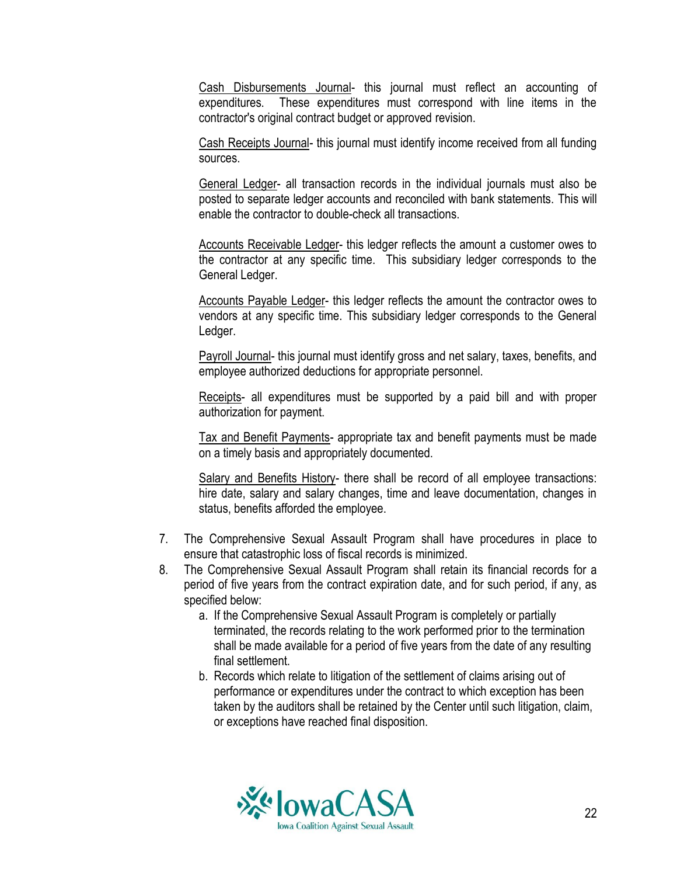Cash Disbursements Journal- this journal must reflect an accounting of expenditures. These expenditures must correspond with line items in the contractor's original contract budget or approved revision.

Cash Receipts Journal- this journal must identify income received from all funding sources.

General Ledger- all transaction records in the individual journals must also be posted to separate ledger accounts and reconciled with bank statements. This will enable the contractor to double-check all transactions.

Accounts Receivable Ledger- this ledger reflects the amount a customer owes to the contractor at any specific time. This subsidiary ledger corresponds to the General Ledger.

Accounts Payable Ledger- this ledger reflects the amount the contractor owes to vendors at any specific time. This subsidiary ledger corresponds to the General Ledger.

Payroll Journal- this journal must identify gross and net salary, taxes, benefits, and employee authorized deductions for appropriate personnel.

Receipts- all expenditures must be supported by a paid bill and with proper authorization for payment.

Tax and Benefit Payments- appropriate tax and benefit payments must be made on a timely basis and appropriately documented.

Salary and Benefits History- there shall be record of all employee transactions: hire date, salary and salary changes, time and leave documentation, changes in status, benefits afforded the employee.

- 7. The Comprehensive Sexual Assault Program shall have procedures in place to ensure that catastrophic loss of fiscal records is minimized.
- 8. The Comprehensive Sexual Assault Program shall retain its financial records for a period of five years from the contract expiration date, and for such period, if any, as specified below:
	- a. If the Comprehensive Sexual Assault Program is completely or partially terminated, the records relating to the work performed prior to the termination shall be made available for a period of five years from the date of any resulting final settlement.
	- b. Records which relate to litigation of the settlement of claims arising out of performance or expenditures under the contract to which exception has been taken by the auditors shall be retained by the Center until such litigation, claim, or exceptions have reached final disposition.

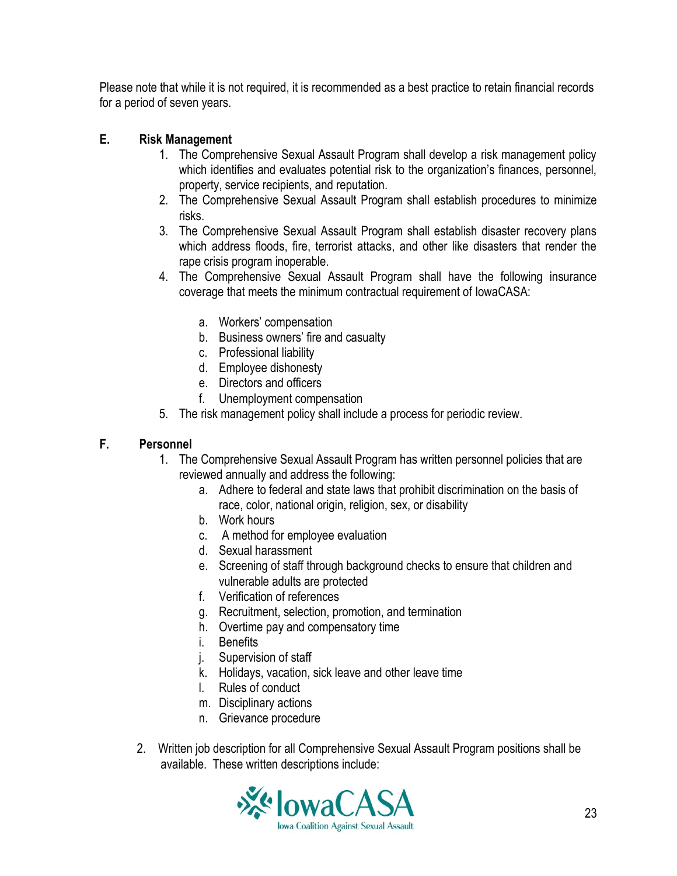Please note that while it is not required, it is recommended as a best practice to retain financial records for a period of seven years.

## **E. Risk Management**

- 1. The Comprehensive Sexual Assault Program shall develop a risk management policy which identifies and evaluates potential risk to the organization's finances, personnel, property, service recipients, and reputation.
- 2. The Comprehensive Sexual Assault Program shall establish procedures to minimize risks.
- 3. The Comprehensive Sexual Assault Program shall establish disaster recovery plans which address floods, fire, terrorist attacks, and other like disasters that render the rape crisis program inoperable.
- 4. The Comprehensive Sexual Assault Program shall have the following insurance coverage that meets the minimum contractual requirement of IowaCASA:
	- a. Workers' compensation
	- b. Business owners' fire and casualty
	- c. Professional liability
	- d. Employee dishonesty
	- e. Directors and officers
	- f. Unemployment compensation
- 5. The risk management policy shall include a process for periodic review.

#### **F. Personnel**

- 1. The Comprehensive Sexual Assault Program has written personnel policies that are reviewed annually and address the following:
	- a. Adhere to federal and state laws that prohibit discrimination on the basis of race, color, national origin, religion, sex, or disability
	- b. Work hours
	- c. A method for employee evaluation
	- d. Sexual harassment
	- e. Screening of staff through background checks to ensure that children and vulnerable adults are protected
	- f. Verification of references
	- g. Recruitment, selection, promotion, and termination
	- h. Overtime pay and compensatory time
	- i. Benefits
	- j. Supervision of staff
	- k. Holidays, vacation, sick leave and other leave time
	- l. Rules of conduct
	- m. Disciplinary actions
	- n. Grievance procedure
- 2. Written job description for all Comprehensive Sexual Assault Program positions shall be available. These written descriptions include:

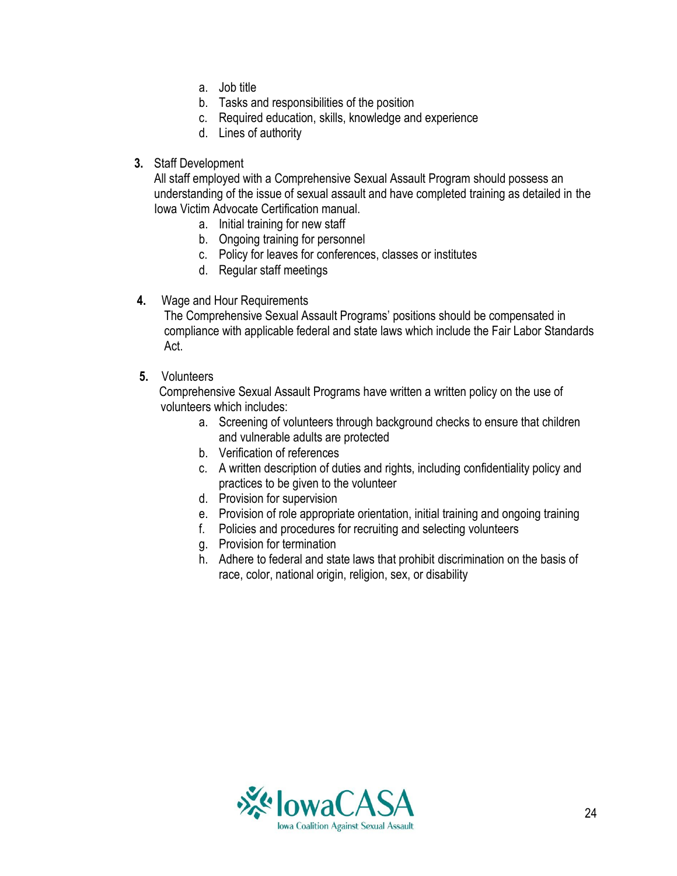- a. Job title
- b. Tasks and responsibilities of the position
- c. Required education, skills, knowledge and experience
- d. Lines of authority
- **3.** Staff Development

All staff employed with a Comprehensive Sexual Assault Program should possess an understanding of the issue of sexual assault and have completed training as detailed in the Iowa Victim Advocate Certification manual.

- a. Initial training for new staff
- b. Ongoing training for personnel
- c. Policy for leaves for conferences, classes or institutes
- d. Regular staff meetings
- **4.** Wage and Hour Requirements

The Comprehensive Sexual Assault Programs' positions should be compensated in compliance with applicable federal and state laws which include the Fair Labor Standards Act.

**5.** Volunteers

Comprehensive Sexual Assault Programs have written a written policy on the use of volunteers which includes:

- a. Screening of volunteers through background checks to ensure that children and vulnerable adults are protected
- b. Verification of references
- c. A written description of duties and rights, including confidentiality policy and practices to be given to the volunteer
- d. Provision for supervision
- e. Provision of role appropriate orientation, initial training and ongoing training
- f. Policies and procedures for recruiting and selecting volunteers
- g. Provision for termination
- h. Adhere to federal and state laws that prohibit discrimination on the basis of race, color, national origin, religion, sex, or disability